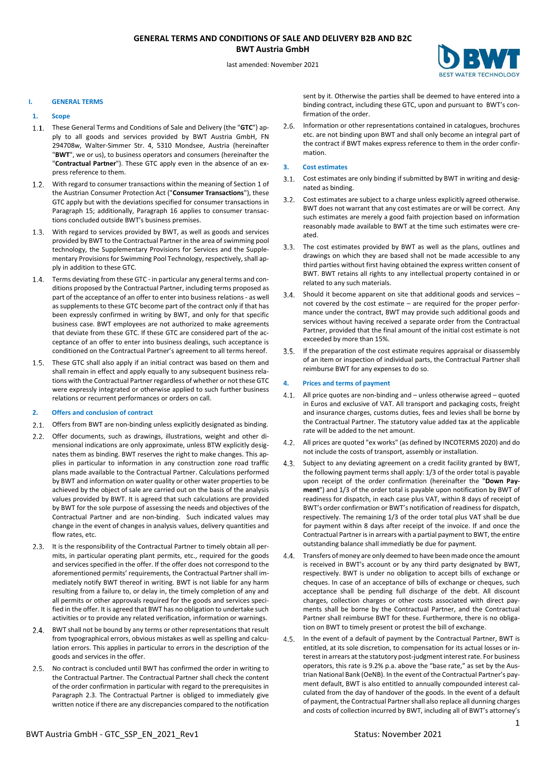# **GENERAL TERMS AND CONDITIONS OF SALE AND DELIVERY B2B AND B2C BWT Austria GmbH**



last amended: November 2021

### **I. GENERAL TERMS**

## **1. Scope**

- These General Terms and Conditions of Sale and Delivery (the "**GTC**") apply to all goods and services provided by BWT Austria GmbH, FN 294708w, Walter-Simmer Str. 4, 5310 Mondsee, Austria (hereinafter "**BWT**", we or us), to business operators and consumers (hereinafter the "**Contractual Partner**"). These GTC apply even in the absence of an express reference to them.
- With regard to consumer transactions within the meaning of Section 1 of the Austrian Consumer Protection Act ("**Consumer Transactions**"), these GTC apply but with the deviations specified for consumer transactions in Paragraph 15; additionally, Paragraph 16 applies to consumer transactions concluded outside BWT's business premises.
- With regard to services provided by BWT, as well as goods and services provided by BWT to the Contractual Partner in the area of swimming pool technology, the Supplementary Provisions for Services and the Supplementary Provisions for Swimming Pool Technology, respectively, shall apply in addition to these GTC.
- 1.4. Terms deviating from these GTC in particular any general terms and conditions proposed by the Contractual Partner, including terms proposed as part of the acceptance of an offer to enter into business relations - as well as supplements to these GTC become part of the contract only if that has been expressly confirmed in writing by BWT, and only for that specific business case. BWT employees are not authorized to make agreements that deviate from these GTC. If these GTC are considered part of the acceptance of an offer to enter into business dealings, such acceptance is conditioned on the Contractual Partner's agreement to all terms hereof.
- 1.5. These GTC shall also apply if an initial contract was based on them and shall remain in effect and apply equally to any subsequent business relations with the Contractual Partner regardless of whether or not these GTC were expressly integrated or otherwise applied to such further business relations or recurrent performances or orders on call.

#### **2. Offers and conclusion of contract**

- 2.1. Offers from BWT are non-binding unless explicitly designated as binding.
- 2.2. Offer documents, such as drawings, illustrations, weight and other dimensional indications are only approximate, unless BTW explicitly designates them as binding. BWT reserves the right to make changes. This applies in particular to information in any construction zone road traffic plans made available to the Contractual Partner. Calculations performed by BWT and information on water quality or other water properties to be achieved by the object of sale are carried out on the basis of the analysis values provided by BWT. It is agreed that such calculations are provided by BWT for the sole purpose of assessing the needs and objectives of the Contractual Partner and are non-binding. Such indicated values may change in the event of changes in analysis values, delivery quantities and flow rates, etc.
- It is the responsibility of the Contractual Partner to timely obtain all per- $2.3$ mits, in particular operating plant permits, etc., required for the goods and services specified in the offer. If the offer does not correspond to the aforementioned permits' requirements, the Contractual Partner shall immediately notify BWT thereof in writing. BWT is not liable for any harm resulting from a failure to, or delay in, the timely completion of any and all permits or other approvals required for the goods and services specified in the offer. It is agreed that BWT has no obligation to undertake such activities or to provide any related verification, information or warnings.
- 2.4. BWT shall not be bound by any terms or other representations that result from typographical errors, obvious mistakes as well as spelling and calculation errors. This applies in particular to errors in the description of the goods and services in the offer.
- No contract is concluded until BWT has confirmed the order in writing to  $2.5.$ the Contractual Partner. The Contractual Partner shall check the content of the order confirmation in particular with regard to the prerequisites in Paragraph 2.3. The Contractual Partner is obliged to immediately give written notice if there are any discrepancies compared to the notification

sent by it. Otherwise the parties shall be deemed to have entered into a binding contract, including these GTC, upon and pursuant to BWT's confirmation of the order.

 $2.6.$ Information or other representations contained in catalogues, brochures etc. are not binding upon BWT and shall only become an integral part of the contract if BWT makes express reference to them in the order confirmation.

## **3. Cost estimates**

- 3.1. Cost estimates are only binding if submitted by BWT in writing and designated as binding.
- $3.2.$ Cost estimates are subject to a charge unless explicitly agreed otherwise. BWT does not warrant that any cost estimates are or will be correct. Any such estimates are merely a good faith projection based on information reasonably made available to BWT at the time such estimates were created.
- $3.3.$ The cost estimates provided by BWT as well as the plans, outlines and drawings on which they are based shall not be made accessible to any third parties without first having obtained the express written consent of BWT. BWT retains all rights to any intellectual property contained in or related to any such materials.
- Should it become apparent on site that additional goods and services  $3.4.$ not covered by the cost estimate – are required for the proper performance under the contract, BWT may provide such additional goods and services without having received a separate order from the Contractual Partner, provided that the final amount of the initial cost estimate is not exceeded by more than 15%.
- If the preparation of the cost estimate requires appraisal or disassembly  $3.5.$ of an item or inspection of individual parts, the Contractual Partner shall reimburse BWT for any expenses to do so.

#### **4. Prices and terms of payment**

- All price quotes are non-binding and unless otherwise agreed quoted in Euros and exclusive of VAT. All transport and packaging costs, freight and insurance charges, customs duties, fees and levies shall be borne by the Contractual Partner. The statutory value added tax at the applicable rate will be added to the net amount.
- All prices are quoted "ex works" (as defined by INCOTERMS 2020) and do  $4.2.$ not include the costs of transport, assembly or installation.
- $4.3.$ Subject to any deviating agreement on a credit facility granted by BWT, the following payment terms shall apply: 1/3 of the order total is payable upon receipt of the order confirmation (hereinafter the "**Down Payment**") and 1/3 of the order total is payable upon notification by BWT of readiness for dispatch, in each case plus VAT, within 8 days of receipt of BWT's order confirmation or BWT's notification of readiness for dispatch, respectively. The remaining 1/3 of the order total plus VAT shall be due for payment within 8 days after receipt of the invoice. If and once the Contractual Partner is in arrears with a partial payment to BWT, the entire outstanding balance shall immediatly be due for payment.
- Transfers of money are only deemed to have been made once the amount  $4.4.$ is received in BWT's account or by any third party designated by BWT, respectively. BWT is under no obligation to accept bills of exchange or cheques. In case of an acceptance of bills of exchange or cheques, such acceptance shall be pending full discharge of the debt. All discount charges, collection charges or other costs associated with direct payments shall be borne by the Contractual Partner, and the Contractual Partner shall reimburse BWT for these. Furthermore, there is no obligation on BWT to timely present or protest the bill of exchange.
- $4.5.$ In the event of a default of payment by the Contractual Partner, BWT is entitled, at its sole discretion, to compensation for its actual losses or interest in arrears at the statutory post-judgment interestrate. For business operators, this rate is 9.2% p.a. above the "base rate," as set by the Austrian National Bank (OeNB). In the event of the Contractual Partner's payment default, BWT is also entitled to annually compounded interest calculated from the day of handover of the goods. In the event of a default of payment, the Contractual Partner shall also replace all dunning charges and costs of collection incurred by BWT, including all of BWT's attorney's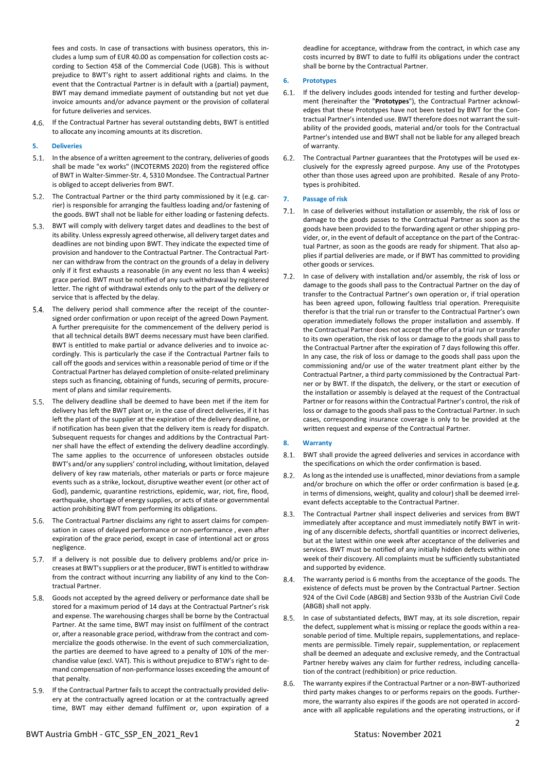fees and costs. In case of transactions with business operators, this includes a lump sum of EUR 40.00 as compensation for collection costs according to Section 458 of the Commercial Code (UGB). This is without prejudice to BWT's right to assert additional rights and claims. In the event that the Contractual Partner is in default with a (partial) payment, BWT may demand immediate payment of outstanding but not yet due invoice amounts and/or advance payment or the provision of collateral for future deliveries and services.

4.6. If the Contractual Partner has several outstanding debts, BWT is entitled to allocate any incoming amounts at its discretion.

## **5. Deliveries**

- 5.1. In the absence of a written agreement to the contrary, deliveries of goods shall be made "ex works" (INCOTERMS 2020) from the registered office of BWT in Walter-Simmer-Str. 4, 5310 Mondsee. The Contractual Partner is obliged to accept deliveries from BWT.
- 5.2. The Contractual Partner or the third party commissioned by it (e.g. carrier) is responsible for arranging the faultless loading and/or fastening of the goods. BWT shall not be liable for either loading or fastening defects.
- 5.3. BWT will comply with delivery target dates and deadlines to the best of its ability. Unless expressly agreed otherwise, all delivery target dates and deadlines are not binding upon BWT. They indicate the expected time of provision and handover to the Contractual Partner. The Contractual Partner can withdraw from the contract on the grounds of a delay in delivery only if it first exhausts a reasonable (in any event no less than 4 weeks) grace period. BWT must be notified of any such withdrawal by registered letter. The right of withdrawal extends only to the part of the delivery or service that is affected by the delay.
- 5.4. The delivery period shall commence after the receipt of the countersigned order confirmation or upon receipt of the agreed Down Payment. A further prerequisite for the commencement of the delivery period is that all technical details BWT deems necessary must have been clarified. BWT is entitled to make partial or advance deliveries and to invoice accordingly. This is particularly the case if the Contractual Partner fails to call off the goods and services within a reasonable period of time or if the Contractual Partner has delayed completion of onsite-related preliminary steps such as financing, obtaining of funds, securing of permits, procurement of plans and similar requirements.
- $5.5.$ The delivery deadline shall be deemed to have been met if the item for delivery has left the BWT plant or, in the case of direct deliveries, if it has left the plant of the supplier at the expiration of the delivery deadline, or if notification has been given that the delivery item is ready for dispatch. Subsequent requests for changes and additions by the Contractual Partner shall have the effect of extending the delivery deadline accordingly. The same applies to the occurrence of unforeseen obstacles outside BWT's and/or any suppliers' control including, without limitation, delayed delivery of key raw materials, other materials or parts or force majeure events such as a strike, lockout, disruptive weather event (or other act of God), pandemic, quarantine restrictions, epidemic, war, riot, fire, flood, earthquake, shortage of energy supplies, or acts of state or governmental action prohibiting BWT from performing its obligations.
- 5.6. The Contractual Partner disclaims any right to assert claims for compensation in cases of delayed performance or non-performance , even after expiration of the grace period, except in case of intentional act or gross negligence.
- If a delivery is not possible due to delivery problems and/or price increases at BWT's suppliers or at the producer, BWT is entitled to withdraw from the contract without incurring any liability of any kind to the Contractual Partner.
- Goods not accepted by the agreed delivery or performance date shall be stored for a maximum period of 14 days at the Contractual Partner's risk and expense. The warehousing charges shall be borne by the Contractual Partner. At the same time, BWT may insist on fulfilment of the contract or, after a reasonable grace period, withdraw from the contract and commercialize the goods otherwise. In the event of such commercialization, the parties are deemed to have agreed to a penalty of 10% of the merchandise value (excl. VAT). This is without prejudice to BTW's right to demand compensation of non-performance losses exceeding the amount of that penalty.
- 5.9. If the Contractual Partner fails to accept the contractually provided delivery at the contractually agreed location or at the contractually agreed time, BWT may either demand fulfilment or, upon expiration of a

deadline for acceptance, withdraw from the contract, in which case any costs incurred by BWT to date to fulfil its obligations under the contract shall be borne by the Contractual Partner.

## **6. Prototypes**

- $6.1.$ If the delivery includes goods intended for testing and further development (hereinafter the "**Prototypes**"), the Contractual Partner acknowledges that these Prototypes have not been tested by BWT for the Contractual Partner'sintended use. BWT therefore does not warrant the suitability of the provided goods, material and/or tools for the Contractual Partner's intended use and BWT shall not be liable for any alleged breach of warranty.
- $6.2.$ The Contractual Partner guarantees that the Prototypes will be used exclusively for the expressly agreed purpose. Any use of the Prototypes other than those uses agreed upon are prohibited. Resale of any Prototypes is prohibited.

## **7. Passage of risk**

- In case of deliveries without installation or assembly, the risk of loss or  $7.1.$ damage to the goods passes to the Contractual Partner as soon as the goods have been provided to the forwarding agent or other shipping provider, or, in the event of default of acceptance on the part of the Contractual Partner, as soon as the goods are ready for shipment. That also applies if partial deliveries are made, or if BWT has committed to providing other goods or services.
- In case of delivery with installation and/or assembly, the risk of loss or  $7.2.$ damage to the goods shall pass to the Contractual Partner on the day of transfer to the Contractual Partner's own operation or, if trial operation has been agreed upon, following faultless trial operation. Prerequisite therefor is that the trial run or transfer to the Contractual Partner's own operation immediately follows the proper installation and assembly. If the Contractual Partner does not accept the offer of a trial run or transfer to its own operation, the risk of loss or damage to the goods shall pass to the Contractual Partner after the expiration of 7 days following this offer. In any case, the risk of loss or damage to the goods shall pass upon the commissioning and/or use of the water treatment plant either by the Contractual Partner, a third party commissioned by the Contractual Partner or by BWT. If the dispatch, the delivery, or the start or execution of the installation or assembly is delayed at the request of the Contractual Partner or for reasons within the Contractual Partner's control, the risk of loss or damage to the goods shall pass to the Contractual Partner. In such cases, corresponding insurance coverage is only to be provided at the written request and expense of the Contractual Partner.

## **8. Warranty**

- BWT shall provide the agreed deliveries and services in accordance with the specifications on which the order confirmation is based.
- $8.2.$ As long as the intended use is unaffected, minor deviations from a sample and/or brochure on which the offer or order confirmation is based (e.g. in terms of dimensions, weight, quality and colour) shall be deemed irrelevant defects acceptable to the Contractual Partner.
- $8.3.$ The Contractual Partner shall inspect deliveries and services from BWT immediately after acceptance and must immediately notify BWT in writing of any discernible defects, shortfall quantities or incorrect deliveries, but at the latest within one week after acceptance of the deliveries and services. BWT must be notified of any initially hidden defects within one week of their discovery. All complaints must be sufficiently substantiated and supported by evidence.
- The warranty period is 6 months from the acceptance of the goods. The 8.4. existence of defects must be proven by the Contractual Partner. Section 924 of the Civil Code (ABGB) and Section 933b of the Austrian Civil Code (ABGB) shall not apply.
- In case of substantiated defects, BWT may, at its sole discretion, repair  $8.5.$ the defect, supplement what is missing or replace the goods within a reasonable period of time. Multiple repairs, supplementations, and replacements are permissible. Timely repair, supplementation, or replacement shall be deemed an adequate and exclusive remedy, and the Contractual Partner hereby waives any claim for further redress, including cancellation of the contract (redhibition) or price reduction.
- $8.6.$ The warranty expires if the Contractual Partner or a non-BWT-authorized third party makes changes to or performs repairs on the goods. Furthermore, the warranty also expires if the goods are not operated in accordance with all applicable regulations and the operating instructions, or if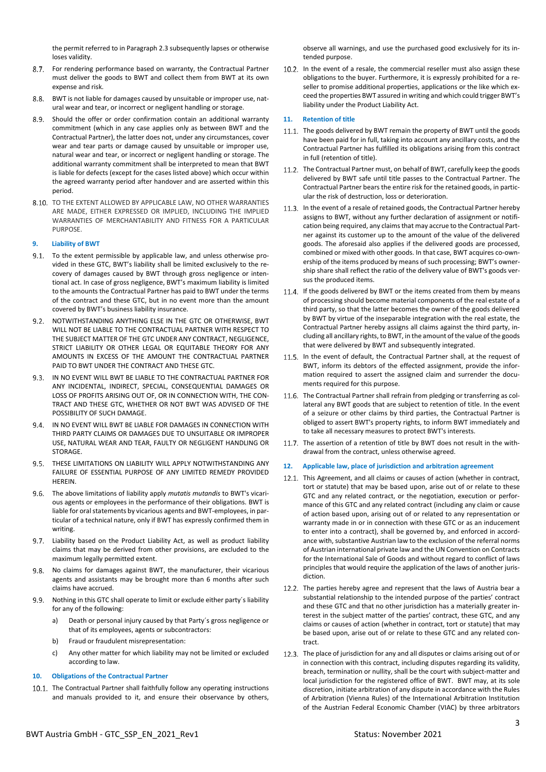the permit referred to in Paragraph 2.3 subsequently lapses or otherwise loses validity.

- 8.7. For rendering performance based on warranty, the Contractual Partner must deliver the goods to BWT and collect them from BWT at its own expense and risk.
- BWT is not liable for damages caused by unsuitable or improper use, natural wear and tear, or incorrect or negligent handling or storage.
- 8.9. Should the offer or order confirmation contain an additional warranty commitment (which in any case applies only as between BWT and the Contractual Partner), the latter does not, under any circumstances, cover wear and tear parts or damage caused by unsuitable or improper use, natural wear and tear, or incorrect or negligent handling or storage. The additional warranty commitment shall be interpreted to mean that BWT is liable for defects (except for the cases listed above) which occur within the agreed warranty period after handover and are asserted within this period.
- 8.10. TO THE EXTENT ALLOWED BY APPLICABLE LAW, NO OTHER WARRANTIES ARE MADE, EITHER EXPRESSED OR IMPLIED, INCLUDING THE IMPLIED WARRANTIES OF MERCHANTABILITY AND FITNESS FOR A PARTICULAR PURPOSE.

## **9. Liability of BWT**

- To the extent permissible by applicable law, and unless otherwise provided in these GTC, BWT's liability shall be limited exclusively to the recovery of damages caused by BWT through gross negligence or intentional act. In case of gross negligence, BWT's maximum liability is limited to the amounts the Contractual Partner has paid to BWT under the terms of the contract and these GTC, but in no event more than the amount covered by BWT's business liability insurance.
- 9.2. NOTWITHSTANDING ANYTHING ELSE IN THE GTC OR OTHERWISE, BWT WILL NOT BE LIABLE TO THE CONTRACTUAL PARTNER WITH RESPECT TO THE SUBJECT MATTER OF THE GTC UNDER ANY CONTRACT, NEGLIGENCE, STRICT LIABILITY OR OTHER LEGAL OR EQUITABLE THEORY FOR ANY AMOUNTS IN EXCESS OF THE AMOUNT THE CONTRACTUAL PARTNER PAID TO BWT UNDER THE CONTRACT AND THESE GTC.
- 9.3. IN NO EVENT WILL BWT BE LIABLE TO THE CONTRACTUAL PARTNER FOR ANY INCIDENTAL, INDIRECT, SPECIAL, CONSEQUENTIAL DAMAGES OR LOSS OF PROFITS ARISING OUT OF, OR IN CONNECTION WITH, THE CON-TRACT AND THESE GTC, WHETHER OR NOT BWT WAS ADVISED OF THE POSSIBILITY OF SUCH DAMAGE.
- 9.4. IN NO EVENT WILL BWT BE LIABLE FOR DAMAGES IN CONNECTION WITH THIRD PARTY CLAIMS OR DAMAGES DUE TO UNSUITABLE OR IMPROPER USE, NATURAL WEAR AND TEAR, FAULTY OR NEGLIGENT HANDLING OR **STORAGE**
- 9.5. THESE LIMITATIONS ON LIABILITY WILL APPLY NOTWITHSTANDING ANY FAILURE OF ESSENTIAL PURPOSE OF ANY LIMITED REMEDY PROVIDED **HEREIN**
- The above limitations of liability apply *mutatis mutandis* to BWT's vicarious agents or employees in the performance of their obligations. BWT is liable for oral statements by vicarious agents and BWT-employees, in particular of a technical nature, only if BWT has expressly confirmed them in writing.
- 9.7. Liability based on the Product Liability Act, as well as product liability claims that may be derived from other provisions, are excluded to the maximum legally permitted extent.
- 9.8. No claims for damages against BWT, the manufacturer, their vicarious agents and assistants may be brought more than 6 months after such claims have accrued.
- Nothing in this GTC shall operate to limit or exclude either party´s liability for any of the following:
	- a) Death or personal injury caused by that Party´s gross negligence or that of its employees, agents or subcontractors:
	- b) Fraud or fraudulent misrepresentation:
	- c) Any other matter for which liability may not be limited or excluded according to law.

## **10. Obligations of the Contractual Partner**

10.1. The Contractual Partner shall faithfully follow any operating instructions and manuals provided to it, and ensure their observance by others,

observe all warnings, and use the purchased good exclusively for its intended purpose.

10.2. In the event of a resale, the commercial reseller must also assign these obligations to the buyer. Furthermore, it is expressly prohibited for a reseller to promise additional properties, applications or the like which exceed the properties BWT assured in writing and which could trigger BWT's liability under the Product Liability Act.

## **11. Retention of title**

- 11.1. The goods delivered by BWT remain the property of BWT until the goods have been paid for in full, taking into account any ancillary costs, and the Contractual Partner has fulfilled its obligations arising from this contract in full (retention of title).
- 11.2. The Contractual Partner must, on behalf of BWT, carefully keep the goods delivered by BWT safe until title passes to the Contractual Partner. The Contractual Partner bears the entire risk for the retained goods, in particular the risk of destruction, loss or deterioration.
- 11.3. In the event of a resale of retained goods, the Contractual Partner hereby assigns to BWT, without any further declaration of assignment or notification being required, any claims that may accrue to the Contractual Partner against its customer up to the amount of the value of the delivered goods. The aforesaid also applies if the delivered goods are processed, combined or mixed with other goods. In that case, BWT acquires co-ownership of the items produced by means of such processing; BWT's ownership share shall reflect the ratio of the delivery value of BWT's goods versus the produced items.
- 11.4. If the goods delivered by BWT or the items created from them by means of processing should become material components of the real estate of a third party, so that the latter becomes the owner of the goods delivered by BWT by virtue of the inseparable integration with the real estate, the Contractual Partner hereby assigns all claims against the third party, including all ancillary rights, to BWT, in the amount of the value of the goods that were delivered by BWT and subsequently integrated.
- 11.5. In the event of default, the Contractual Partner shall, at the request of BWT, inform its debtors of the effected assignment, provide the information required to assert the assigned claim and surrender the documents required for this purpose.
- 11.6. The Contractual Partner shall refrain from pledging or transferring as collateral any BWT goods that are subject to retention of title. In the event of a seizure or other claims by third parties, the Contractual Partner is obliged to assert BWT's property rights, to inform BWT immediately and to take all necessary measures to protect BWT's interests.
- 11.7. The assertion of a retention of title by BWT does not result in the withdrawal from the contract, unless otherwise agreed.

## **12. Applicable law, place of jurisdiction and arbitration agreement**

- <span id="page-2-0"></span>12.1. This Agreement, and all claims or causes of action (whether in contract, tort or statute) that may be based upon, arise out of or relate to these GTC and any related contract, or the negotiation, execution or performance of this GTC and any related contract (including any claim or cause of action based upon, arising out of or related to any representation or warranty made in or in connection with these GTC or as an inducement to enter into a contract), shall be governed by, and enforced in accordance with, substantive Austrian law to the exclusion of the referral norms of Austrian international private law and the UN Convention on Contracts for the International Sale of Goods and without regard to conflict of laws principles that would require the application of the laws of another jurisdiction.
- 12.2. The parties hereby agree and represent that the laws of Austria bear a substantial relationship to the intended purpose of the parties' contract and these GTC and that no other jurisdiction has a materially greater interest in the subject matter of the parties' contract, these GTC, and any claims or causes of action (whether in contract, tort or statute) that may be based upon, arise out of or relate to these GTC and any related contract.
- 12.3. The place of jurisdiction for any and all disputes or claims arising out of or in connection with this contract, including disputes regarding its validity, breach, termination or nullity, shall be the court with subject-matter and local jurisdiction for the registered office of BWT. BWT may, at its sole discretion, initiate arbitration of any dispute in accordance with the Rules of Arbitration (Vienna Rules) of the International Arbitration Institution of the Austrian Federal Economic Chamber (VIAC) by three arbitrators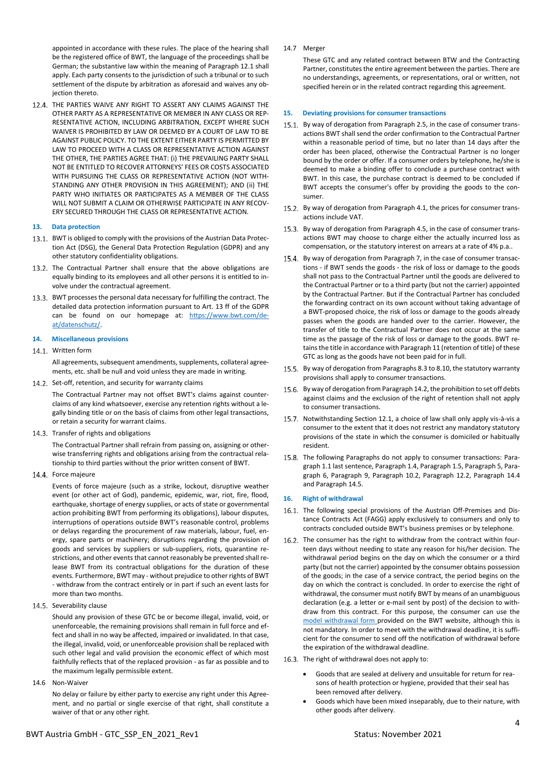appointed in accordance with these rules. The place of the hearing shall be the registered office of BWT, the language of the proceedings shall be German; the substantive law within the meaning of Paragraph [12.1](#page-2-0) shall apply. Each party consents to the jurisdiction of such a tribunal or to such settlement of the dispute by arbitration as aforesaid and waives any objection thereto.

12.4. THE PARTIES WAIVE ANY RIGHT TO ASSERT ANY CLAIMS AGAINST THE OTHER PARTY AS A REPRESENTATIVE OR MEMBER IN ANY CLASS OR REP-RESENTATIVE ACTION, INCLUDING ARBITRATION, EXCEPT WHERE SUCH WAIVER IS PROHIBITED BY LAW OR DEEMED BY A COURT OF LAW TO BE AGAINST PUBLIC POLICY. TO THE EXTENT EITHER PARTY IS PERMITTED BY LAW TO PROCEED WITH A CLASS OR REPRESENTATIVE ACTION AGAINST THE OTHER, THE PARTIES AGREE THAT: (i) THE PREVAILING PARTY SHALL NOT BE ENTITLED TO RECOVER ATTORNEYS' FEES OR COSTS ASSOCIATED WITH PURSUING THE CLASS OR REPRESENTATIVE ACTION (NOT WITH-STANDING ANY OTHER PROVISION IN THIS AGREEMENT); AND (ii) THE PARTY WHO INITIATES OR PARTICIPATES AS A MEMBER OF THE CLASS WILL NOT SUBMIT A CLAIM OR OTHERWISE PARTICIPATE IN ANY RECOV-ERY SECURED THROUGH THE CLASS OR REPRESENTATIVE ACTION.

## **13. Data protection**

- 13.1. BWT is obliged to comply with the provisions of the Austrian Data Protection Act (DSG), the General Data Protection Regulation (GDPR) and any other statutory confidentiality obligations.
- 13.2. The Contractual Partner shall ensure that the above obligations are equally binding to its employees and all other persons it is entitled to involve under the contractual agreement.
- 13.3. BWT processes the personal data necessary for fulfilling the contract. The detailed data protection information pursuant to Art. 13 ff of the GDPR can be found on our homepage at: [https://www.bwt.com/de](https://www.bwt.com/de-at/datenschutz/)[at/datenschutz/.](https://www.bwt.com/de-at/datenschutz/)

### **14. Miscellaneous provisions**

### Written form

All agreements, subsequent amendments, supplements, collateral agreements, etc. shall be null and void unless they are made in writing.

14.2. Set-off, retention, and security for warranty claims

The Contractual Partner may not offset BWT's claims against counterclaims of any kind whatsoever, exercise any retention rights without a legally binding title or on the basis of claims from other legal transactions, or retain a security for warrant claims.

14.3. Transfer of rights and obligations

The Contractual Partner shall refrain from passing on, assigning or otherwise transferring rights and obligations arising from the contractual relationship to third parties without the prior written consent of BWT.

14.4. Force majeure

Events of force majeure (such as a strike, lockout, disruptive weather event (or other act of God), pandemic, epidemic, war, riot, fire, flood, earthquake, shortage of energy supplies, or acts of state or governmental action prohibiting BWT from performing its obligations), labour disputes, interruptions of operations outside BWT's reasonable control, problems or delays regarding the procurement of raw materials, labour, fuel, energy, spare parts or machinery; disruptions regarding the provision of goods and services by suppliers or sub-suppliers, riots, quarantine restrictions, and other events that cannot reasonably be prevented shall release BWT from its contractual obligations for the duration of these events. Furthermore, BWT may - without prejudice to other rights of BWT - withdraw from the contract entirely or in part if such an event lasts for more than two months.

14.5. Severability clause

Should any provision of these GTC be or become illegal, invalid, void, or unenforceable, the remaining provisions shall remain in full force and effect and shall in no way be affected, impaired or invalidated. In that case, the illegal, invalid, void, or unenforceable provision shall be replaced with such other legal and valid provision the economic effect of which most faithfully reflects that of the replaced provision - as far as possible and to the maximum legally permissible extent.

14.6 Non-Waiver

No delay or failure by either party to exercise any right under this Agreement, and no partial or single exercise of that right, shall constitute a waiver of that or any other right.

14.7 Merger

These GTC and any related contract between BTW and the Contracting Partner, constitutes the entire agreement between the parties. There are no understandings, agreements, or representations, oral or written, not specified herein or in the related contract regarding this agreement.

### **15. Deviating provisions for consumer transactions**

- 15.1. By way of derogation from Paragraph 2.5, in the case of consumer transactions BWT shall send the order confirmation to the Contractual Partner within a reasonable period of time, but no later than 14 days after the order has been placed, otherwise the Contractual Partner is no longer bound by the order or offer. If a consumer orders by telephone, he/she is deemed to make a binding offer to conclude a purchase contract with BWT. In this case, the purchase contract is deemed to be concluded if BWT accepts the consumer's offer by providing the goods to the consumer.
- 15.2. By way of derogation from Paragraph 4.1, the prices for consumer transactions include VAT.
- 15.3. By way of derogation from Paragraph 4.5, in the case of consumer transactions BWT may choose to charge either the actually incurred loss as compensation, or the statutory interest on arrears at a rate of 4% p.a..
- 15.4. By way of derogation from Paragraph 7, in the case of consumer transactions - if BWT sends the goods - the risk of loss or damage to the goods shall not pass to the Contractual Partner until the goods are delivered to the Contractual Partner or to a third party (but not the carrier) appointed by the Contractual Partner. But if the Contractual Partner has concluded the forwarding contract on its own account without taking advantage of a BWT-proposed choice, the risk of loss or damage to the goods already passes when the goods are handed over to the carrier. However, the transfer of title to the Contractual Partner does not occur at the same time as the passage of the risk of loss or damage to the goods. BWT retains the title in accordance with Paragraph 11 (retention of title) of these GTC as long as the goods have not been paid for in full.
- 15.5. By way of derogation from Paragraphs 8.3 to 8.10, the statutory warranty provisions shall apply to consumer transactions.
- 15.6. By way of derogation from Paragraph 14.2, the prohibition to set off debts against claims and the exclusion of the right of retention shall not apply to consumer transactions.
- 15.7. Notwithstanding Section 12.1, a choice of law shall only apply vis-à-vis a consumer to the extent that it does not restrict any mandatory statutory provisions of the state in which the consumer is domiciled or habitually resident.
- 15.8. The following Paragraphs do not apply to consumer transactions: Paragraph 1.1 last sentence, Paragraph 1.4, Paragraph 1.5, Paragraph 5, Paragraph 6, Paragraph 9, Paragraph 10.2, Paragraph 12.2, Paragraph 14.4 and Paragraph 14.5.

## **16. Right of withdrawal**

- 16.1. The following special provisions of the Austrian Off-Premises and Distance Contracts Act (FAGG) apply exclusively to consumers and only to contracts concluded outside BWT's business premises or by telephone.
- 16.2. The consumer has the right to withdraw from the contract within fourteen days without needing to state any reason for his/her decision. The withdrawal period begins on the day on which the consumer or a third party (but not the carrier) appointed by the consumer obtains possession of the goods; in the case of a service contract, the period begins on the day on which the contract is concluded. In order to exercise the right of withdrawal, the consumer must notify BWT by means of an unambiguous declaration (e.g. a letter or e-mail sent by post) of the decision to withdraw from this contract. For this purpose, the consumer can use the [model withdrawal form p](https://www.bwt.com/de-at/-/media/bwt/at/documents/agb/model_withdrawal_form.pdf?rev=240a5b7972b34a38b1d5b14b5bbecd3d)rovided on the BWT website, although this is not mandatory. In order to meet with the withdrawal deadline, it is sufficient for the consumer to send off the notification of withdrawal before the expiration of the withdrawal deadline.
- 16.3. The right of withdrawal does not apply to:
	- Goods that are sealed at delivery and unsuitable for return for reasons of health protection or hygiene, provided that their seal has been removed after delivery.
	- Goods which have been mixed inseparably, due to their nature, with other goods after delivery.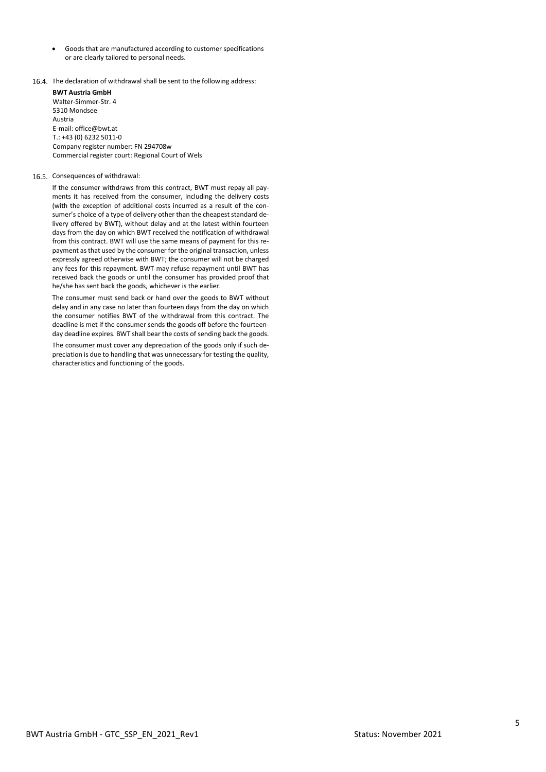- Goods that are manufactured according to customer specifications or are clearly tailored to personal needs.
- 16.4. The declaration of withdrawal shall be sent to the following address:

**BWT Austria GmbH**  Walter-Simmer-Str. 4 5310 Mondsee Austria E-mail: office@bwt.at  $T: +43(0)62325011-0$ Company register number: FN 294708w Commercial register court: Regional Court of Wels

## 16.5. Consequences of withdrawal:

If the consumer withdraws from this contract, BWT must repay all payments it has received from the consumer, including the delivery costs (with the exception of additional costs incurred as a result of the consumer's choice of a type of delivery other than the cheapest standard delivery offered by BWT), without delay and at the latest within fourteen days from the day on which BWT received the notification of withdrawal from this contract. BWT will use the same means of payment for this repayment as that used by the consumer for the original transaction, unless expressly agreed otherwise with BWT; the consumer will not be charged any fees for this repayment. BWT may refuse repayment until BWT has received back the goods or until the consumer has provided proof that he/she has sent back the goods, whichever is the earlier.

The consumer must send back or hand over the goods to BWT without delay and in any case no later than fourteen days from the day on which the consumer notifies BWT of the withdrawal from this contract. The deadline is met if the consumer sends the goods off before the fourteenday deadline expires. BWT shall bear the costs of sending back the goods.

The consumer must cover any depreciation of the goods only if such depreciation is due to handling that was unnecessary for testing the quality, characteristics and functioning of the goods.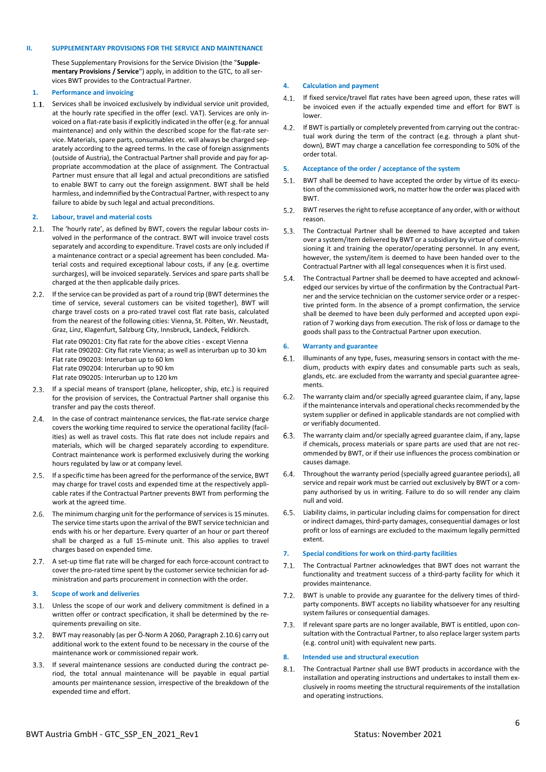### **II. SUPPLEMENTARY PROVISIONS FOR THE SERVICE AND MAINTENANCE**

These Supplementary Provisions for the Service Division (the "**Supplementary Provisions / Service**") apply, in addition to the GTC, to all services BWT provides to the Contractual Partner.

#### **1. Performance and invoicing**

1.1. Services shall be invoiced exclusively by individual service unit provided, at the hourly rate specified in the offer (excl. VAT). Services are only invoiced on a flat-rate basis if explicitly indicated in the offer (e.g. for annual maintenance) and only within the described scope for the flat-rate service. Materials, spare parts, consumables etc. will always be charged separately according to the agreed terms. In the case of foreign assignments (outside of Austria), the Contractual Partner shall provide and pay for appropriate accommodation at the place of assignment. The Contractual Partner must ensure that all legal and actual preconditions are satisfied to enable BWT to carry out the foreign assignment. BWT shall be held harmless, and indemnified by the Contractual Partner, with respect to any failure to abide by such legal and actual preconditions.

### **2. Labour, travel and material costs**

- 2.1. The 'hourly rate', as defined by BWT, covers the regular labour costs involved in the performance of the contract. BWT will invoice travel costs separately and according to expenditure. Travel costs are only included if a maintenance contract or a special agreement has been concluded. Material costs and required exceptional labour costs, if any (e.g. overtime surcharges), will be invoiced separately. Services and spare parts shall be charged at the then applicable daily prices.
- 2.2. If the service can be provided as part of a round trip (BWT determines the time of service, several customers can be visited together), BWT will charge travel costs on a pro-rated travel cost flat rate basis, calculated from the nearest of the following cities: Vienna, St. Pölten, Wr. Neustadt, Graz, Linz, Klagenfurt, Salzburg City, Innsbruck, Landeck, Feldkirch.

Flat rate 090201: City flat rate for the above cities - except Vienna Flat rate 090202: City flat rate Vienna; as well as interurban up to 30 km Flat rate 090203: Interurban up to 60 km Flat rate 090204: Interurban up to 90 km Flat rate 090205: Interurban up to 120 km

- 2.3. If a special means of transport (plane, helicopter, ship, etc.) is required for the provision of services, the Contractual Partner shall organise this transfer and pay the costs thereof.
- 2.4. In the case of contract maintenance services, the flat-rate service charge covers the working time required to service the operational facility (facilities) as well as travel costs. This flat rate does not include repairs and materials, which will be charged separately according to expenditure. Contract maintenance work is performed exclusively during the working hours regulated by law or at company level.
- 2.5. If a specific time has been agreed for the performance of the service, BWT may charge for travel costs and expended time at the respectively applicable rates if the Contractual Partner prevents BWT from performing the work at the agreed time.
- 2.6. The minimum charging unit for the performance of services is 15 minutes. The service time starts upon the arrival of the BWT service technician and ends with his or her departure. Every quarter of an hour or part thereof shall be charged as a full 15-minute unit. This also applies to travel charges based on expended time.
- 2.7. A set-up time flat rate will be charged for each force-account contract to cover the pro-rated time spent by the customer service technician for administration and parts procurement in connection with the order.

#### **3. Scope of work and deliveries**

- Unless the scope of our work and delivery commitment is defined in a written offer or contract specification, it shall be determined by the requirements prevailing on site.
- BWT may reasonably (as per Ö-Norm A 2060, Paragraph 2.10.6) carry out additional work to the extent found to be necessary in the course of the maintenance work or commissioned repair work.
- If several maintenance sessions are conducted during the contract pe-3.3. riod, the total annual maintenance will be payable in equal partial amounts per maintenance session, irrespective of the breakdown of the expended time and effort.

#### **4. Calculation and payment**

- $4.1.$ If fixed service/travel flat rates have been agreed upon, these rates will be invoiced even if the actually expended time and effort for BWT is lower.
- 4.2. If BWT is partially or completely prevented from carrying out the contractual work during the term of the contract (e.g. through a plant shutdown), BWT may charge a cancellation fee corresponding to 50% of the order total.

#### **5. Acceptance of the order / acceptance of the system**

- $5.1.$ BWT shall be deemed to have accepted the order by virtue of its execution of the commissioned work, no matter how the order was placed with BWT.
- 5.2. BWT reserves the right to refuse acceptance of any order, with or without reason.
- $5.3.$ The Contractual Partner shall be deemed to have accepted and taken over a system/item delivered by BWT or a subsidiary by virtue of commissioning it and training the operator/operating personnel. In any event, however, the system/item is deemed to have been handed over to the Contractual Partner with all legal consequences when it is first used.
- 5.4 The Contractual Partner shall be deemed to have accepted and acknowledged our services by virtue of the confirmation by the Contractual Partner and the service technician on the customer service order or a respective printed form. In the absence of a prompt confirmation, the service shall be deemed to have been duly performed and accepted upon expiration of 7 working days from execution. The risk of loss or damage to the goods shall pass to the Contractual Partner upon execution.

#### **6. Warranty and guarantee**

- 6.1. Illuminants of any type, fuses, measuring sensors in contact with the medium, products with expiry dates and consumable parts such as seals, glands, etc. are excluded from the warranty and special guarantee agreements.
- $6.2.$ The warranty claim and/or specially agreed guarantee claim, if any, lapse if the maintenance intervals and operational checks recommended by the system supplier or defined in applicable standards are not complied with or verifiably documented.
- The warranty claim and/or specially agreed guarantee claim, if any, lapse  $6.3.$ if chemicals, process materials or spare parts are used that are not recommended by BWT, or if their use influences the process combination or causes damage.
- $6.4.$ Throughout the warranty period (specially agreed guarantee periods), all service and repair work must be carried out exclusively by BWT or a company authorised by us in writing. Failure to do so will render any claim null and void.
- Liability claims, in particular including claims for compensation for direct  $6.5.$ or indirect damages, third-party damages, consequential damages or lost profit or loss of earnings are excluded to the maximum legally permitted extent.

#### **7. Special conditions for work on third-party facilities**

- The Contractual Partner acknowledges that BWT does not warrant the functionality and treatment success of a third-party facility for which it provides maintenance.
- 7.2. BWT is unable to provide any guarantee for the delivery times of thirdparty components. BWT accepts no liability whatsoever for any resulting system failures or consequential damages.
- $7.3.$ If relevant spare parts are no longer available, BWT is entitled, upon consultation with the Contractual Partner, to also replace larger system parts (e.g. control unit) with equivalent new parts.

#### **8. Intended use and structural execution**

The Contractual Partner shall use BWT products in accordance with the  $8.1.$ installation and operating instructions and undertakes to install them exclusively in rooms meeting the structural requirements of the installation and operating instructions.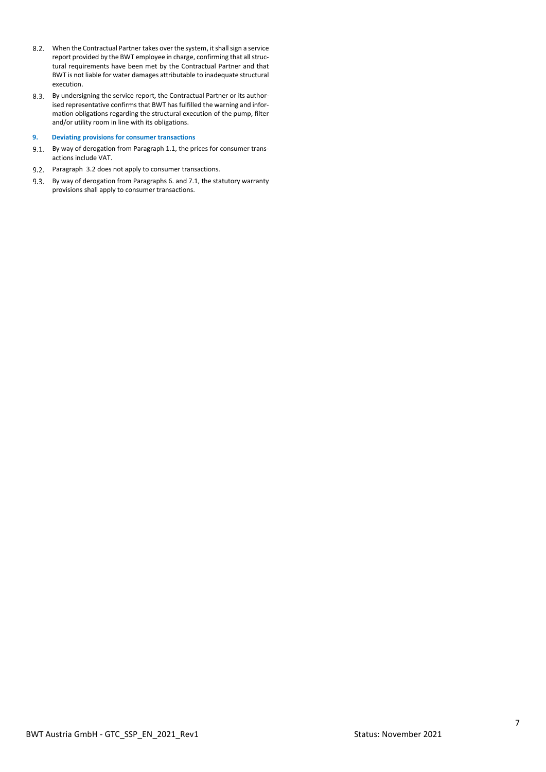- When the Contractual Partner takes over the system, it shall sign a service report provided by the BWT employee in charge, confirming that all structural requirements have been met by the Contractual Partner and that BWT is not liable for water damages attributable to inadequate structural execution.
- 8.3. By undersigning the service report, the Contractual Partner or its authorised representative confirms that BWT has fulfilled the warning and information obligations regarding the structural execution of the pump, filter and/or utility room in line with its obligations.

## **9. Deviating provisions for consumer transactions**

- 9.1. By way of derogation from Paragraph 1.1, the prices for consumer transactions include VAT.
- 9.2. Paragraph 3.2 does not apply to consumer transactions.
- 9.3. By way of derogation from Paragraphs 6. and 7.1, the statutory warranty provisions shall apply to consumer transactions.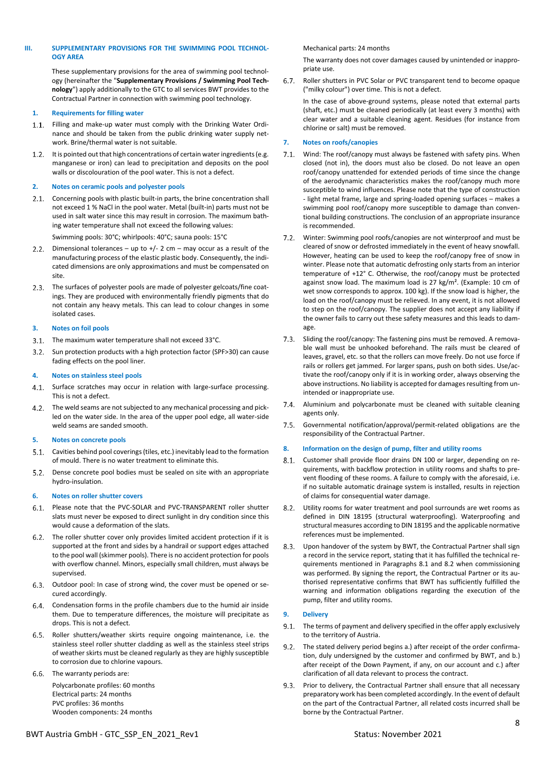## **III. SUPPLEMENTARY PROVISIONS FOR THE SWIMMING POOL TECHNOL-OGY AREA**

These supplementary provisions for the area of swimming pool technology (hereinafter the "**Supplementary Provisions / Swimming Pool Technology**") apply additionally to the GTC to all services BWT provides to the Contractual Partner in connection with swimming pool technology.

### **1. Requirements for filling water**

- 1.1. Filling and make-up water must comply with the Drinking Water Ordinance and should be taken from the public drinking water supply network. Brine/thermal water is not suitable.
- $1.2.$ It is pointed out that high concentrations of certain water ingredients (e.g. manganese or iron) can lead to precipitation and deposits on the pool walls or discolouration of the pool water. This is not a defect.

### **2. Notes on ceramic pools and polyester pools**

2.1. Concerning pools with plastic built-in parts, the brine concentration shall not exceed 1 % NaCl in the pool water. Metal (built-in) parts must not be used in salt water since this may result in corrosion. The maximum bathing water temperature shall not exceed the following values:

Swimming pools: 30°C; whirlpools: 40°C; sauna pools: 15°C

- 2.2. Dimensional tolerances up to  $+/$  2 cm may occur as a result of the manufacturing process of the elastic plastic body. Consequently, the indicated dimensions are only approximations and must be compensated on site.
- 2.3. The surfaces of polyester pools are made of polyester gelcoats/fine coatings. They are produced with environmentally friendly pigments that do not contain any heavy metals. This can lead to colour changes in some isolated cases.

## **3. Notes on foil pools**

- 3.1. The maximum water temperature shall not exceed 33°C.
- 3.2. Sun protection products with a high protection factor (SPF>30) can cause fading effects on the pool liner.

### **4. Notes on stainless steel pools**

- 4.1. Surface scratches may occur in relation with large-surface processing. This is not a defect.
- The weld seams are not subjected to any mechanical processing and pickled on the water side. In the area of the upper pool edge, all water-side weld seams are sanded smooth.

## **5. Notes on concrete pools**

- 5.1. Cavities behind pool coverings (tiles, etc.) inevitably lead to the formation of mould. There is no water treatment to eliminate this.
- 5.2. Dense concrete pool bodies must be sealed on site with an appropriate hydro-insulation.

### **6. Notes on roller shutter covers**

- 6.1. Please note that the PVC-SOLAR and PVC-TRANSPARENT roller shutter slats must never be exposed to direct sunlight in dry condition since this would cause a deformation of the slats.
- 6.2. The roller shutter cover only provides limited accident protection if it is supported at the front and sides by a handrail or support edges attached to the pool wall (skimmer pools). There is no accident protection for pools with overflow channel. Minors, especially small children, must always be supervised.
- 6.3. Outdoor pool: In case of strong wind, the cover must be opened or secured accordingly.
- Condensation forms in the profile chambers due to the humid air inside them. Due to temperature differences, the moisture will precipitate as drops. This is not a defect.
- 6.5. Roller shutters/weather skirts require ongoing maintenance, i.e. the stainless steel roller shutter cladding as well as the stainless steel strips of weather skirts must be cleaned regularly as they are highly susceptible to corrosion due to chlorine vapours.

6.6. The warranty periods are: Polycarbonate profiles: 60 months Electrical parts: 24 months PVC profiles: 36 months Wooden components: 24 months

### Mechanical parts: 24 months

The warranty does not cover damages caused by unintended or inappropriate use.

Roller shutters in PVC Solar or PVC transparent tend to become opaque  $6.7.$ ("milky colour") over time. This is not a defect.

In the case of above-ground systems, please noted that external parts (shaft, etc.) must be cleaned periodically (at least every 3 months) with clear water and a suitable cleaning agent. Residues (for instance from chlorine or salt) must be removed.

## **7. Notes on roofs/canopies**

- $7.1.$ Wind: The roof/canopy must always be fastened with safety pins. When closed (not in), the doors must also be closed. Do not leave an open roof/canopy unattended for extended periods of time since the change of the aerodynamic characteristics makes the roof/canopy much more susceptible to wind influences. Please note that the type of construction - light metal frame, large and spring-loaded opening surfaces – makes a swimming pool roof/canopy more susceptible to damage than conventional building constructions. The conclusion of an appropriate insurance is recommended.
- $7.2.$ Winter: Swimming pool roofs/canopies are not winterproof and must be cleared of snow or defrosted immediately in the event of heavy snowfall. However, heating can be used to keep the roof/canopy free of snow in winter. Please note that automatic defrosting only starts from an interior temperature of +12° C. Otherwise, the roof/canopy must be protected against snow load. The maximum load is 27 kg/m<sup>2</sup>. (Example: 10 cm of wet snow corresponds to approx. 100 kg). If the snow load is higher, the load on the roof/canopy must be relieved. In any event, it is not allowed to step on the roof/canopy. The supplier does not accept any liability if the owner fails to carry out these safety measures and this leads to damage.
- $7.3.$ Sliding the roof/canopy: The fastening pins must be removed. A removable wall must be unhooked beforehand. The rails must be cleared of leaves, gravel, etc. so that the rollers can move freely. Do not use force if rails or rollers get jammed. For larger spans, push on both sides. Use/activate the roof/canopy only if it is in working order, always observing the above instructions. No liability is accepted for damages resulting from unintended or inappropriate use.
- $7.4.$ Aluminium and polycarbonate must be cleaned with suitable cleaning agents only.
- $7.5.$ Governmental notification/approval/permit-related obligations are the responsibility of the Contractual Partner.

## **8. Information on the design of pump, filter and utility rooms**

- $8.1.$ Customer shall provide floor drains DN 100 or larger, depending on requirements, with backflow protection in utility rooms and shafts to prevent flooding of these rooms. A failure to comply with the aforesaid, i.e. if no suitable automatic drainage system is installed, results in rejection of claims for consequential water damage.
- Utility rooms for water treatment and pool surrounds are wet rooms as  $8.2.$ defined in DIN 18195 (structural waterproofing). Waterproofing and structural measures according to DIN 18195 and the applicable normative references must be implemented.
- Upon handover of the system by BWT, the Contractual Partner shall sign  $8.3.$ a record in the service report, stating that it has fulfilled the technical requirements mentioned in Paragraphs 8.1 and 8.2 when commissioning was performed. By signing the report, the Contractual Partner or its authorised representative confirms that BWT has sufficiently fulfilled the warning and information obligations regarding the execution of the pump, filter and utility rooms.

## **9. Delivery**

- 9.1. The terms of payment and delivery specified in the offer apply exclusively to the territory of Austria.
- The stated delivery period begins a.) after receipt of the order confirma- $9.2.$ tion, duly undersigned by the customer and confirmed by BWT, and b.) after receipt of the Down Payment, if any, on our account and c.) after clarification of all data relevant to process the contract.
- 9.3. Prior to delivery, the Contractual Partner shall ensure that all necessary preparatory work has been completed accordingly. In the event of default on the part of the Contractual Partner, all related costs incurred shall be borne by the Contractual Partner.